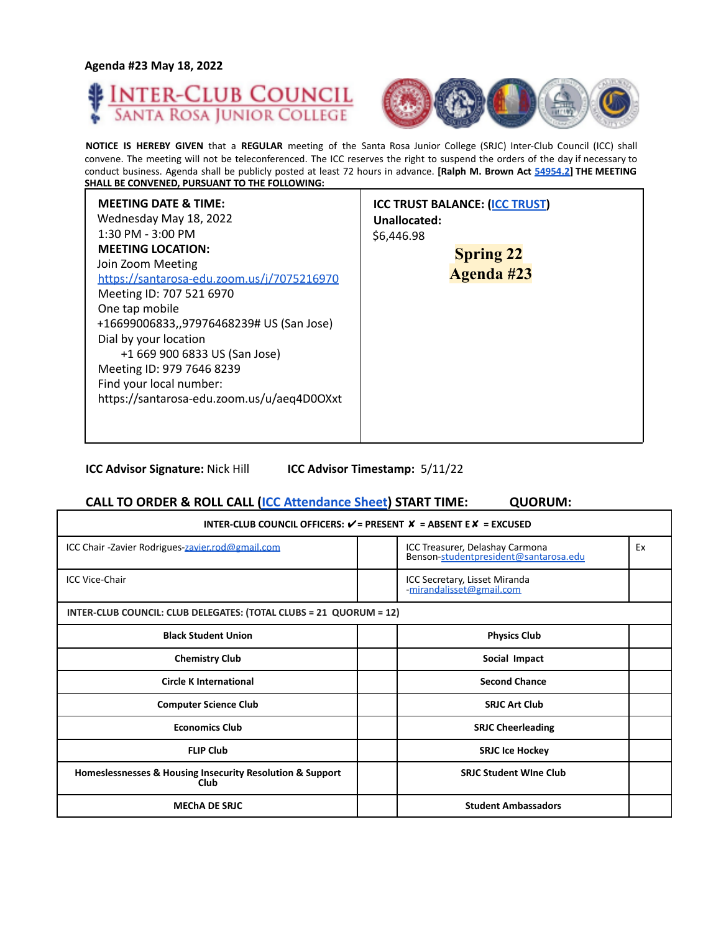



**NOTICE IS HEREBY GIVEN** that a **REGULAR** meeting of the Santa Rosa Junior College (SRJC) Inter-Club Council (ICC) shall convene. The meeting will not be teleconferenced. The ICC reserves the right to suspend the orders of the day if necessary to conduct business. Agenda shall be publicly posted at least 72 hours in advance. **[Ralph M. Brown Act 54954.2] THE MEETING SHALL BE CONVENED, PURSUANT TO THE FOLLOWING:**

| <b>MEETING DATE &amp; TIME:</b><br><b>ICC TRUST BALANCE: (ICC TRUST)</b><br>Wednesday May 18, 2022<br>Unallocated:<br>$1:30$ PM - $3:00$ PM<br>\$6,446.98<br><b>MEETING LOCATION:</b><br>Join Zoom Meeting<br>https://santarosa-edu.zoom.us/j/7075216970<br>Meeting ID: 707 521 6970<br>One tap mobile<br>+16699006833,,97976468239# US (San Jose)<br>Dial by your location<br>+1 669 900 6833 US (San Jose)<br>Meeting ID: 979 7646 8239<br>Find your local number:<br>https://santarosa-edu.zoom.us/u/aeq4D0OXxt | <b>Spring 22</b><br><b>Agenda #23</b> |
|--------------------------------------------------------------------------------------------------------------------------------------------------------------------------------------------------------------------------------------------------------------------------------------------------------------------------------------------------------------------------------------------------------------------------------------------------------------------------------------------------------------------|---------------------------------------|
|--------------------------------------------------------------------------------------------------------------------------------------------------------------------------------------------------------------------------------------------------------------------------------------------------------------------------------------------------------------------------------------------------------------------------------------------------------------------------------------------------------------------|---------------------------------------|

**ICC Advisor Signature:** Nick Hill **ICC Advisor Timestamp:** 5/11/22

#### **CALL TO ORDER & ROLL CALL (ICC Attendance Sheet) START TIME: QUORUM:**

| INTER-CLUB COUNCIL OFFICERS: $V = P$ RESENT $X = AB$ SENT E $X = EXCUSED$ |  |                                                                          |    |
|---------------------------------------------------------------------------|--|--------------------------------------------------------------------------|----|
| ICC Chair -Zavier Rodrigues-zavier.rod@gmail.com                          |  | ICC Treasurer, Delashay Carmona<br>Benson-studentpresident@santarosa.edu | Ex |
| <b>ICC Vice-Chair</b>                                                     |  | ICC Secretary, Lisset Miranda<br>-mirandalisset@gmail.com                |    |
| INTER-CLUB COUNCIL: CLUB DELEGATES: (TOTAL CLUBS = 21 QUORUM = 12)        |  |                                                                          |    |
| <b>Black Student Union</b>                                                |  | <b>Physics Club</b>                                                      |    |
| <b>Chemistry Club</b>                                                     |  | Social Impact                                                            |    |
| <b>Circle K International</b>                                             |  | <b>Second Chance</b>                                                     |    |
| <b>Computer Science Club</b>                                              |  | <b>SRJC Art Club</b>                                                     |    |
| <b>Economics Club</b>                                                     |  | <b>SRJC Cheerleading</b>                                                 |    |
| <b>FLIP Club</b>                                                          |  | <b>SRJC Ice Hockey</b>                                                   |    |
| Homeslessnesses & Housing Insecurity Resolution & Support<br>Club         |  | <b>SRJC Student Wine Club</b>                                            |    |
| <b>MECHA DE SRJC</b>                                                      |  | <b>Student Ambassadors</b>                                               |    |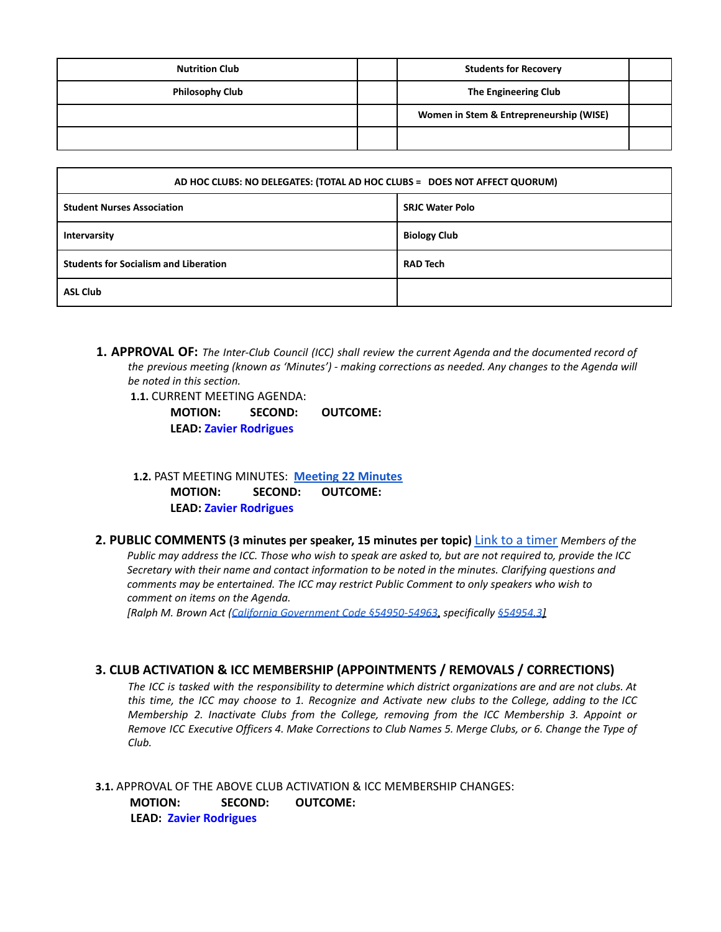| <b>Nutrition Club</b>  | <b>Students for Recovery</b>            |  |
|------------------------|-----------------------------------------|--|
| <b>Philosophy Club</b> | The Engineering Club                    |  |
|                        | Women in Stem & Entrepreneurship (WISE) |  |
|                        |                                         |  |

| AD HOC CLUBS: NO DELEGATES: (TOTAL AD HOC CLUBS = DOES NOT AFFECT QUORUM) |                        |  |
|---------------------------------------------------------------------------|------------------------|--|
| <b>Student Nurses Association</b>                                         | <b>SRJC Water Polo</b> |  |
| Intervarsity                                                              | <b>Biology Club</b>    |  |
| <b>Students for Socialism and Liberation</b>                              | <b>RAD Tech</b>        |  |
| <b>ASL Club</b>                                                           |                        |  |

**1. APPROVAL OF:** *The Inter-Club Council (ICC) shall review the current Agenda and the documented record of the previous meeting (known as 'Minutes') - making corrections as needed. Any changes to the Agenda will be noted in this section.*

**1.1.** CURRENT MEETING AGENDA:

**MOTION: SECOND: OUTCOME: LEAD: Zavier Rodrigues**

**1.2.** PAST MEETING MINUTES: **[Meeting](https://docs.google.com/document/d/1tL_jrbsXLtpN4HDY31PgoLsDKgWEOBYRML78JnN8j8w/edit?usp=sharing) 22 Minutes MOTION: SECOND: OUTCOME: LEAD: Zavier Rodrigues**

**2. PUBLIC COMMENTS (3 minutes per speaker, 15 minutes per topic)** Link to a timer *Members of the* Public may address the ICC. Those who wish to speak are asked to, but are not required to, provide the ICC *Secretary with their name and contact information to be noted in the minutes. Clarifying questions and comments may be entertained. The ICC may restrict Public Comment to only speakers who wish to comment on items on the Agenda.*

*[Ralph M. Brown Act (California Government Code §54950-54963, specifically §54954.3]*

## **3. CLUB ACTIVATION & ICC MEMBERSHIP (APPOINTMENTS / REMOVALS / CORRECTIONS)**

The ICC is tasked with the responsibility to determine which district organizations are and are not clubs. At this time, the ICC may choose to 1. Recognize and Activate new clubs to the College, adding to the ICC *Membership 2. Inactivate Clubs from the College, removing from the ICC Membership 3. Appoint or* Remove ICC Executive Officers 4. Make Corrections to Club Names 5. Merge Clubs, or 6. Change the Type of *Club.*

**3.1.** APPROVAL OF THE ABOVE CLUB ACTIVATION & ICC MEMBERSHIP CHANGES: **MOTION: SECOND: OUTCOME: LEAD: Zavier Rodrigues**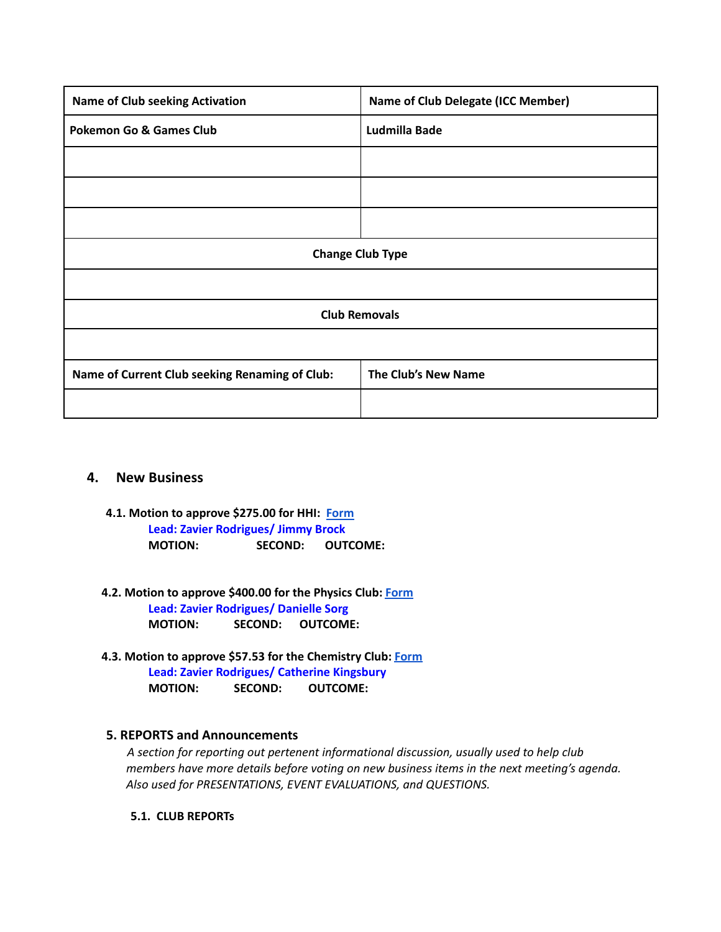| <b>Name of Club seeking Activation</b>         | <b>Name of Club Delegate (ICC Member)</b> |  |
|------------------------------------------------|-------------------------------------------|--|
| <b>Pokemon Go &amp; Games Club</b>             | Ludmilla Bade                             |  |
|                                                |                                           |  |
|                                                |                                           |  |
|                                                |                                           |  |
| <b>Change Club Type</b>                        |                                           |  |
|                                                |                                           |  |
| <b>Club Removals</b>                           |                                           |  |
|                                                |                                           |  |
| Name of Current Club seeking Renaming of Club: | The Club's New Name                       |  |
|                                                |                                           |  |

#### **4. New Business**

- **4.1. Motion to approve \$275.00 for HHI: [Form](https://drive.google.com/file/d/1fOp9acaW56FaNRoQ8EXd3h-EAJjKAfSb/view?usp=sharing) Lead: Zavier Rodrigues/ Jimmy Brock MOTION: SECOND: OUTCOME:**
- **4.2. Motion to approve \$400.00 for the Physics Club: [Form](https://drive.google.com/file/d/1w3ruEV0IJCS2trrpwfQwSjvAek_CJCSJ/view?usp=sharing)**

**Lead: Zavier Rodrigues/ Danielle Sorg MOTION: SECOND: OUTCOME:**

**4.3. Motion to approve \$57.53 for the Chemistry Club: [Form](https://drive.google.com/file/d/1trhoDmdKG_VdDnFll85nqKS1nOEvBlxo/view?usp=sharing) Lead: Zavier Rodrigues/ Catherine Kingsbury MOTION: SECOND: OUTCOME:**

## **5. REPORTS and Announcements**

*A section for reporting out pertenent informational discussion, usually used to help club members have more details before voting on new business items in the next meeting's agenda. Also used for PRESENTATIONS, EVENT EVALUATIONS, and QUESTIONS.*

**5.1. CLUB REPORTs**